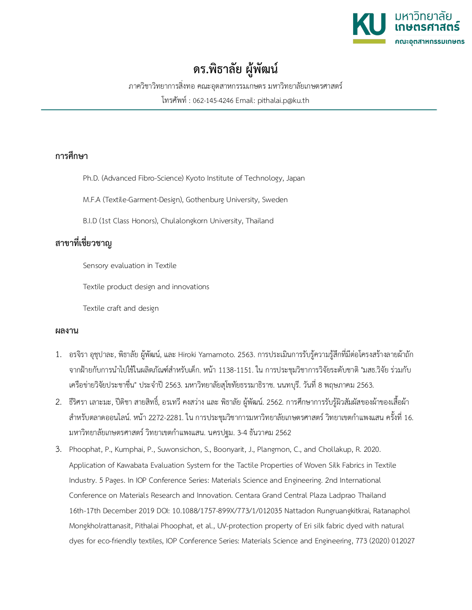

## **ดร.พิธาลัย ผ ู ้ พัฒน**

ภาควิชาวิทยาการสิ่งทอ คณะอุตสาหกรรมเกษตร มหาวิทยาลัยเกษตรศาสตร์

โทรศัพท์: 062-145-4246 Email: pithalai.p@ku.th

## **การศึกษา**

Ph.D. (Advanced Fibro-Science) Kyoto Institute of Technology, Japan

M.F.A (Textile-Garment-Design), Gothenburg University, Sweden

B.I.D (1st Class Honors), Chulalongkorn University, Thailand

## **สาขาที่เชี่ยวชาญ**

Sensory evaluation in Textile

Textile product design and innovations

Textile craft and design

## **ผลงาน**

- 1. อรจิรา อุชุปาละ, พิธาลัย ผู้พัฒน์, และ Hiroki Yamamoto. 2563. การประเมินการรับรู้ความรู้สึกที่มีต่อโครงสร้างลายผ้าถัก จากฝ้ายกับการนำไปใช้ในผลิตภัณฑ์สำหรับเด็ก. หน้า 1138-1151. ใน การประชุมวิชาการวิจัยระดับชาติ "มสธ.วิจัย ร่วมกับ เครือข่ายวิจัยประชาชื่น" ประจำปี2563. มหาวิทยาลัยสุโขทัยธรรมาธิราช. นนทบุรี. วันที่ 8 พฤษภาคม 2563.
- 2. ธีริศรา เลาะมะ, ปีติชา สายสิทธิ์, อรเทวี คงสว่าง และ พิธาลัย ผู้พัฒน์. 2562. การศึกษาการรับรู้ผิวสัมผัสของผ้าของเสื้อผ้า สำหรับตลาดออนไลน์. หน้า 2272-2281. ใน การประชุมวิชาการมหาวิทยาลัยเกษตรศาสตร์วิทยาเขตกำแพงแสน ครั้งที่ 16. มหาวิทยาลัยเกษตรศาสตร์วิทยาเขตกำแพงแสน. นครปฐม. 3-4 ธันวาคม 2562
- 3. Phoophat, P., Kumphai, P., Suwonsichon, S., Boonyarit, J., Plangmon, C., and Chollakup, R. 2020. Application of Kawabata Evaluation System for the Tactile Properties of Woven Silk Fabrics in Textile Industry. 5 Pages. In IOP Conference Series: Materials Science and Engineering. 2nd International Conference on Materials Research and Innovation. Centara Grand Central Plaza Ladprao Thailand 16th-17th December 2019 DOI: 10.1088/1757-899X/773/1/012035 Nattadon Rungruangkitkrai, Ratanaphol Mongkholrattanasit, Pithalai Phoophat, et al., UV-protection property of Eri silk fabric dyed with natural dyes for eco-friendly textiles, IOP Conference Series: Materials Science and Engineering, 773 (2020) 012027